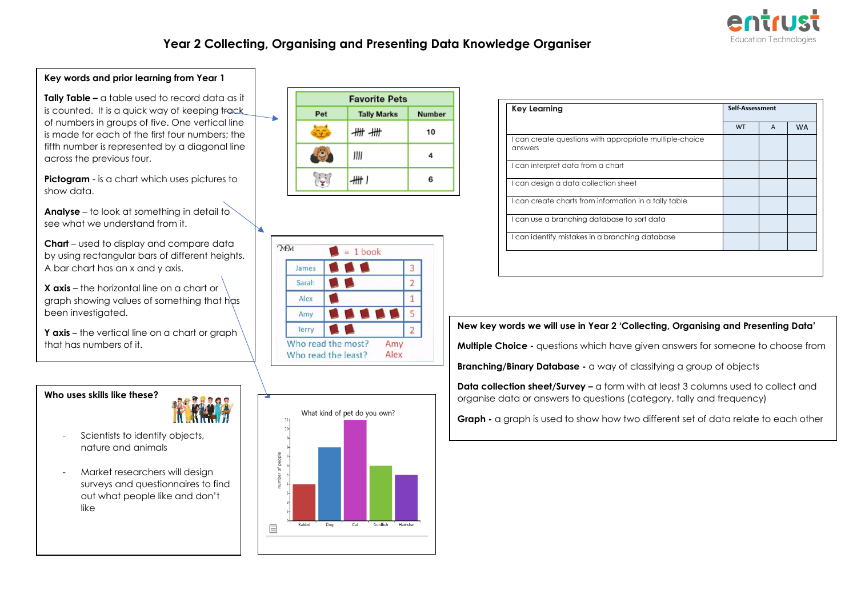

WT A WA

**Key Learning Self-Assessment** 

## **Year 2 Collecting, Organising and Presenting Data Knowledge Organiser**

 $= 1$  book **SSS** 

**A** 

 $\overline{3}$ 

 $\overline{2}$ 

 $\mathbf{1}$ 

 $\overline{5}$ 

 $\overline{2}$ 

**A** 

Amy

Alex

Pet

緑

17

James

Sarah

Alex

Amy Terry



**Key words and prior learning from Year 1**

- Scientists to identify objects, nature and animals
- Market researchers will design surveys and questionnaires to find out what people like and don't like



#### **New key words we will use in Year 2 'Collecting, Organising and Presenting Data'**

**Multiple Choice -** questions which have given answers for someone to choose from

**Branching/Binary Database -** a way of classifying a group of objects

**Data collection sheet/Survey –** a form with at least 3 columns used to collect and organise data or answers to questions (category, tally and frequency)

**Graph -** a graph is used to show how two different set of data relate to each other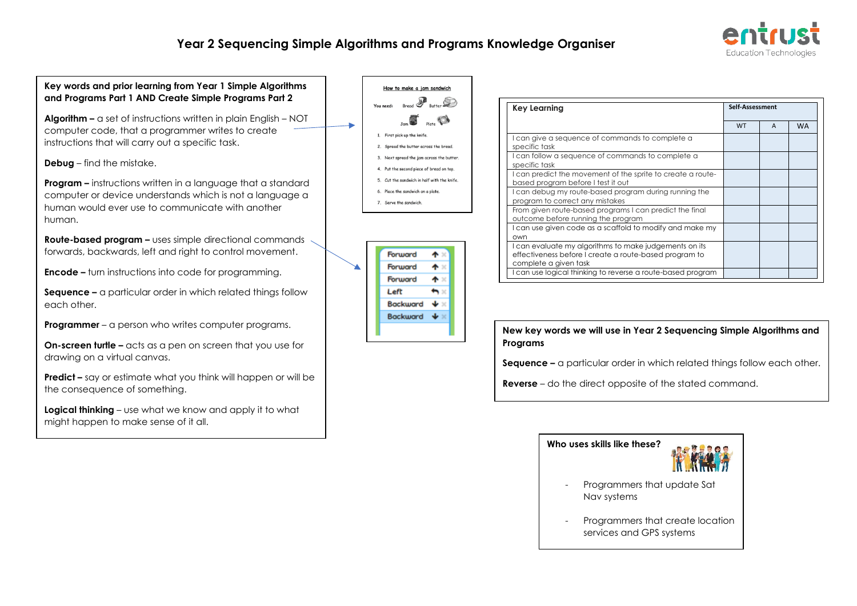## **Year 2 Sequencing Simple Algorithms and Programs Knowledge Organiser**





Programmers that create location services and GPS systems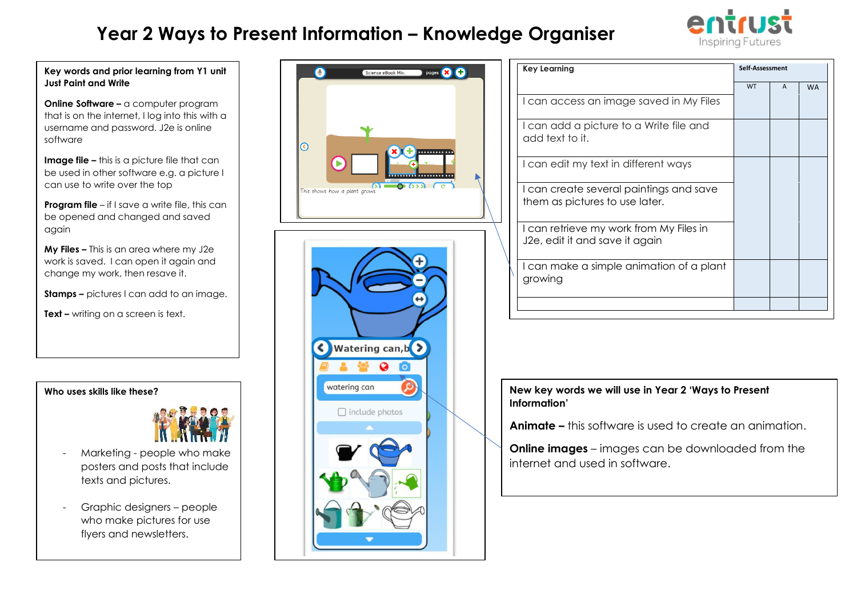# **Year 2 Ways to Present Information – Knowledge Organiser**



**Key words and prior learning from Y1 unit Just Paint and Write**

**Online Software** – a computer program that is on the internet, I log into this with a username and password. J2e is online software

**Image file –** this is a picture file that can be used in other software e.g. a picture I can use to write over the top

**Program file** – if I save a write file, this can be opened and changed and saved again

**My Files –** This is an area where my J2e work is saved. I can open it again and change my work, then resave it.

**Stamps –** pictures I can add to an image.

**Text –** writing on a screen is text.

**Who uses skills like these?** 



- Marketing people who make posters and posts that include texts and pictures.
- Graphic designers people who make pictures for use flyers and newsletters.





| <b>Key Learning</b>                                                       | Self-Assessment |              |           |
|---------------------------------------------------------------------------|-----------------|--------------|-----------|
|                                                                           | <b>WT</b>       | $\mathsf{A}$ | <b>WA</b> |
| I can access an image saved in My Files                                   |                 |              |           |
| I can add a picture to a Write file and<br>add text to it.                |                 |              |           |
| I can edit my text in different ways                                      |                 |              |           |
| I can create several paintings and save<br>them as pictures to use later. |                 |              |           |
| I can retrieve my work from My Files in<br>J2e, edit it and save it again |                 |              |           |
| I can make a simple animation of a plant<br>growing                       |                 |              |           |
|                                                                           |                 |              |           |

### **New key words we will use in Year 2 'Ways to Present Information'**

**Animate –** this software is used to create an animation.

**Online images** – images can be downloaded from the internet and used in software.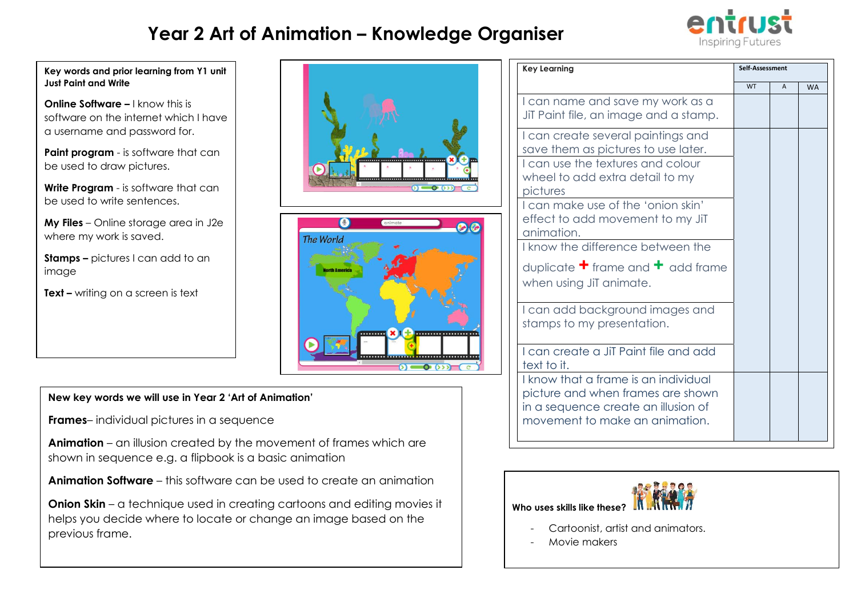# **Year 2 Art of Animation – Knowledge Organiser**



#### **Key words and prior learning from Y1 unit Just Paint and Write**

**Online Software –** I know this is software on the internet which I have a username and password for.

**Paint program** - is software that can be used to draw pictures.

**Write Program** - is software that can be used to write sentences.

**My Files** – Online storage area in J2e where my work is saved.

**Stamps –** pictures I can add to an image

**Text –** writing on a screen is text





### **New key words we will use in Year 2 'Art of Animation'**

**Frames**– individual pictures in a sequence

**Animation** – an illusion created by the movement of frames which are shown in sequence e.g. a flipbook is a basic animation

**Animation Software** – this software can be used to create an animation

**Onion Skin** – a technique used in creating cartoons and editing movies it helps you decide where to locate or change an image based on the previous frame.

| <b>Key Learning</b>                                                                                                                                | Self-Assessment |              |           |
|----------------------------------------------------------------------------------------------------------------------------------------------------|-----------------|--------------|-----------|
|                                                                                                                                                    | <b>WT</b>       | $\mathsf{A}$ | <b>WA</b> |
| I can name and save my work as a<br>JiT Paint file, an image and a stamp.                                                                          |                 |              |           |
| I can create several paintings and<br>save them as pictures to use later.                                                                          |                 |              |           |
| I can use the textures and colour<br>wheel to add extra detail to my<br>pictures                                                                   |                 |              |           |
| I can make use of the 'onion skin'<br>effect to add movement to my JiT<br>animation.                                                               |                 |              |           |
| I know the difference between the                                                                                                                  |                 |              |           |
| duplicate $\pm$ frame and $\pm$ add frame<br>when using JiT animate.                                                                               |                 |              |           |
| I can add background images and<br>stamps to my presentation.                                                                                      |                 |              |           |
| I can create a JiT Paint file and add<br>text to it.                                                                                               |                 |              |           |
| I know that a frame is an individual<br>picture and when frames are shown<br>in a sequence create an illusion of<br>movement to make an animation. |                 |              |           |



- Cartoonist, artist and animators.

Movie makers